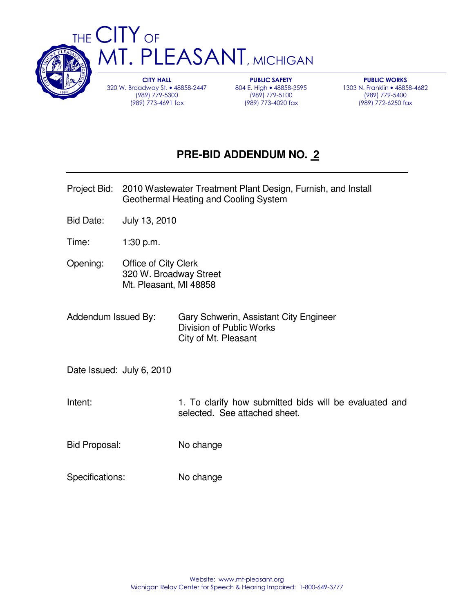

**CITY HALL** 320 W. Broadway St. • 48858-2447 (989) 779-5300 (989) 773-4691 fax

**PUBLIC SAFETY** 804 E. High • 48858-3595 (989) 779-5100 (989) 773-4020 fax

**PUBLIC WORKS** 1303 N. Franklin • 48858-4682 (989) 779-5400 (989) 772-6250 fax

## **PRE-BID ADDENDUM NO. 2**

- Project Bid: 2010 Wastewater Treatment Plant Design, Furnish, and Install Geothermal Heating and Cooling System
- Bid Date: July 13, 2010
- Time: 1:30 p.m.
- Opening: Office of City Clerk 320 W. Broadway Street Mt. Pleasant, MI 48858
- Addendum Issued By: Gary Schwerin, Assistant City Engineer Division of Public Works City of Mt. Pleasant

Date Issued: July 6, 2010

- Intent: 1. To clarify how submitted bids will be evaluated and selected. See attached sheet.
- Bid Proposal: No change
- Specifications: No change